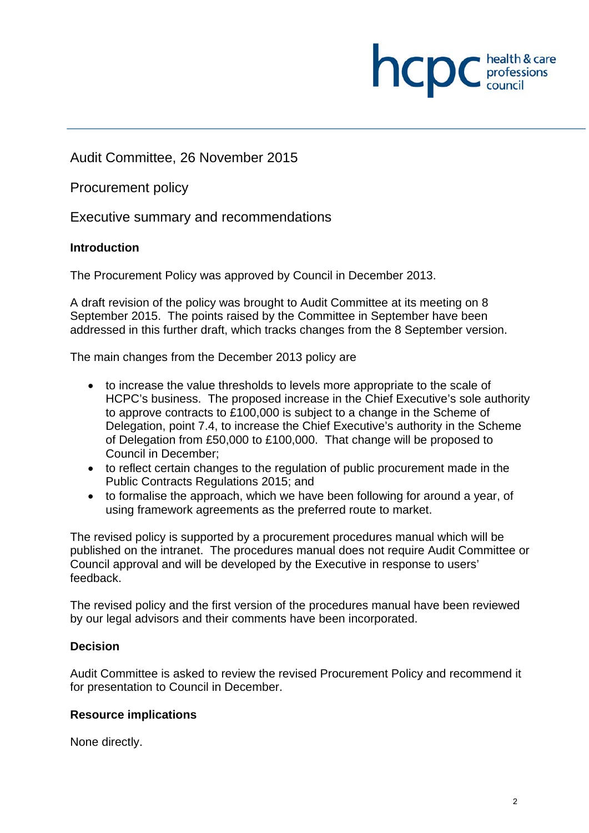

Audit Committee, 26 November 2015

Procurement policy

Executive summary and recommendations

## **Introduction**

The Procurement Policy was approved by Council in December 2013.

A draft revision of the policy was brought to Audit Committee at its meeting on 8 September 2015. The points raised by the Committee in September have been addressed in this further draft, which tracks changes from the 8 September version.

The main changes from the December 2013 policy are

- to increase the value thresholds to levels more appropriate to the scale of HCPC's business. The proposed increase in the Chief Executive's sole authority to approve contracts to £100,000 is subject to a change in the Scheme of Delegation, point 7.4, to increase the Chief Executive's authority in the Scheme of Delegation from £50,000 to £100,000. That change will be proposed to Council in December;
- to reflect certain changes to the regulation of public procurement made in the Public Contracts Regulations 2015; and
- to formalise the approach, which we have been following for around a year, of using framework agreements as the preferred route to market.

The revised policy is supported by a procurement procedures manual which will be published on the intranet. The procedures manual does not require Audit Committee or Council approval and will be developed by the Executive in response to users' feedback.

The revised policy and the first version of the procedures manual have been reviewed by our legal advisors and their comments have been incorporated.

# **Decision**

Audit Committee is asked to review the revised Procurement Policy and recommend it for presentation to Council in December.

## **Resource implications**

None directly.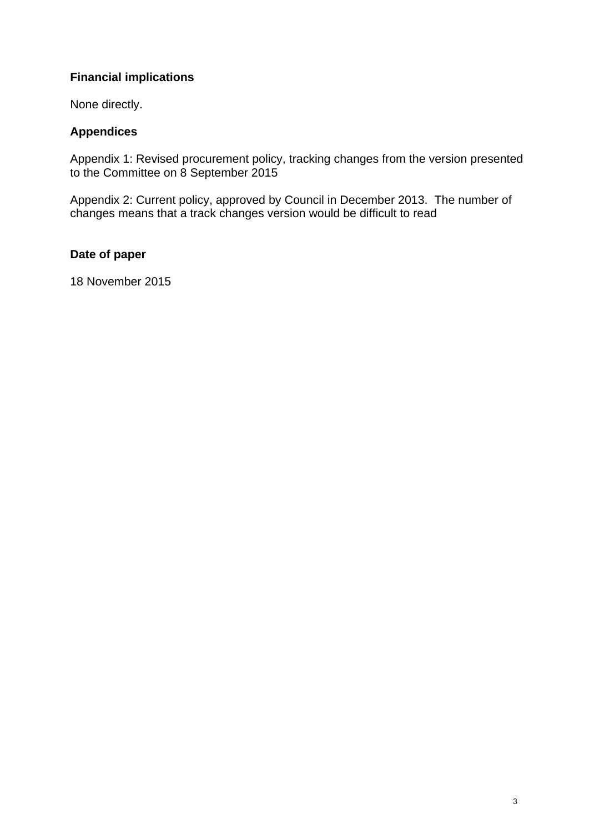# **Financial implications**

None directly.

# **Appendices**

Appendix 1: Revised procurement policy, tracking changes from the version presented to the Committee on 8 September 2015

Appendix 2: Current policy, approved by Council in December 2013. The number of changes means that a track changes version would be difficult to read

# **Date of paper**

18 November 2015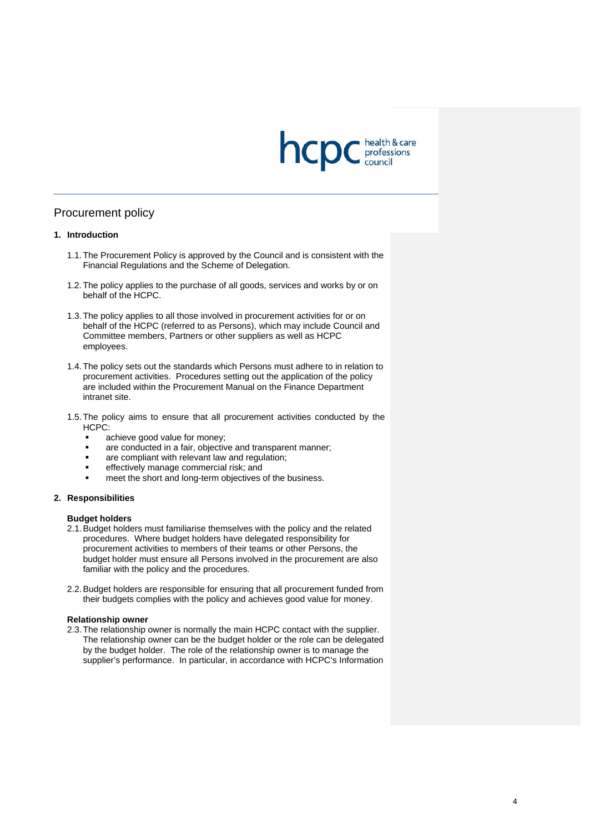

### Procurement policy

### **1. Introduction**

- 1.1. The Procurement Policy is approved by the Council and is consistent with the Financial Regulations and the Scheme of Delegation.
- 1.2. The policy applies to the purchase of all goods, services and works by or on behalf of the HCPC.
- 1.3. The policy applies to all those involved in procurement activities for or on behalf of the HCPC (referred to as Persons), which may include Council and Committee members, Partners or other suppliers as well as HCPC employees.
- 1.4. The policy sets out the standards which Persons must adhere to in relation to procurement activities. Procedures setting out the application of the policy are included within the Procurement Manual on the Finance Department intranet site.
- 1.5. The policy aims to ensure that all procurement activities conducted by the HCPC:
	- achieve good value for money;
	- are conducted in a fair, objective and transparent manner;
	- are compliant with relevant law and regulation;
	- effectively manage commercial risk; and
	- meet the short and long-term objectives of the business.

### **2. Responsibilities**

#### **Budget holders**

- 2.1. Budget holders must familiarise themselves with the policy and the related procedures. Where budget holders have delegated responsibility for procurement activities to members of their teams or other Persons, the budget holder must ensure all Persons involved in the procurement are also familiar with the policy and the procedures.
- 2.2. Budget holders are responsible for ensuring that all procurement funded from their budgets complies with the policy and achieves good value for money.

#### **Relationship owner**

2.3. The relationship owner is normally the main HCPC contact with the supplier. The relationship owner can be the budget holder or the role can be delegated by the budget holder. The role of the relationship owner is to manage the supplier's performance. In particular, in accordance with HCPC's Information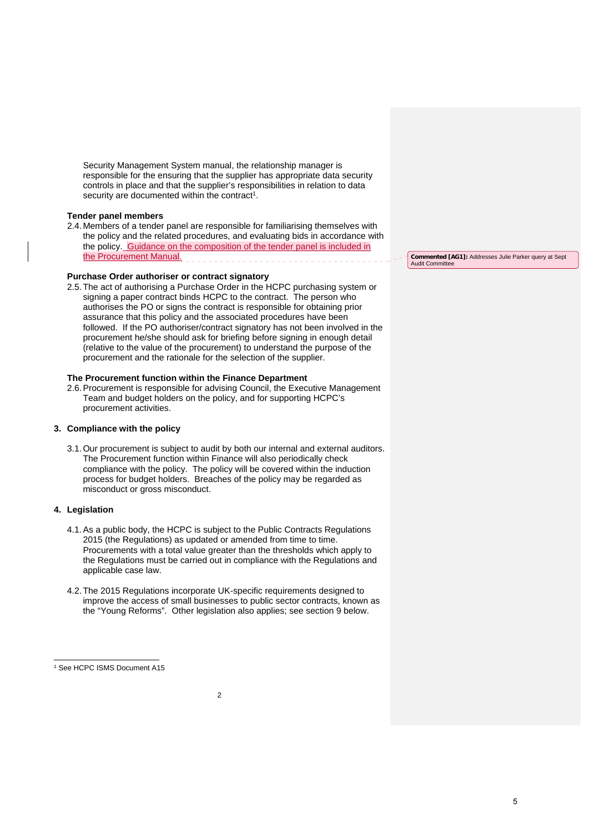Security Management System manual, the relationship manager is responsible for the ensuring that the supplier has appropriate data security controls in place and that the supplier's responsibilities in relation to data security are documented within the contract<sup>1</sup>.

#### **Tender panel members**

2.4. Members of a tender panel are responsible for familiarising themselves with the policy and the related procedures, and evaluating bids in accordance with the policy. Guidance on the composition of the tender panel is included in the Procurement Manual.

### **Purchase Order authoriser or contract signatory**

2.5. The act of authorising a Purchase Order in the HCPC purchasing system or signing a paper contract binds HCPC to the contract. The person who authorises the PO or signs the contract is responsible for obtaining prior assurance that this policy and the associated procedures have been followed. If the PO authoriser/contract signatory has not been involved in the procurement he/she should ask for briefing before signing in enough detail (relative to the value of the procurement) to understand the purpose of the procurement and the rationale for the selection of the supplier.

#### **The Procurement function within the Finance Department**

2.6. Procurement is responsible for advising Council, the Executive Management Team and budget holders on the policy, and for supporting HCPC's procurement activities.

### **3. Compliance with the policy**

3.1. Our procurement is subject to audit by both our internal and external auditors. The Procurement function within Finance will also periodically check compliance with the policy. The policy will be covered within the induction process for budget holders. Breaches of the policy may be regarded as misconduct or gross misconduct.

### **4. Legislation**

- 4.1. As a public body, the HCPC is subject to the Public Contracts Regulations 2015 (the Regulations) as updated or amended from time to time. Procurements with a total value greater than the thresholds which apply to the Regulations must be carried out in compliance with the Regulations and applicable case law.
- 4.2. The 2015 Regulations incorporate UK-specific requirements designed to improve the access of small businesses to public sector contracts, known as the "Young Reforms". Other legislation also applies; see section 9 below.

 $\overline{2}$ 

**Commented [AG1]:** Addresses Julie Parker query at Sept Audit Committee

5

 $\overline{a}$ 1 See HCPC ISMS Document A15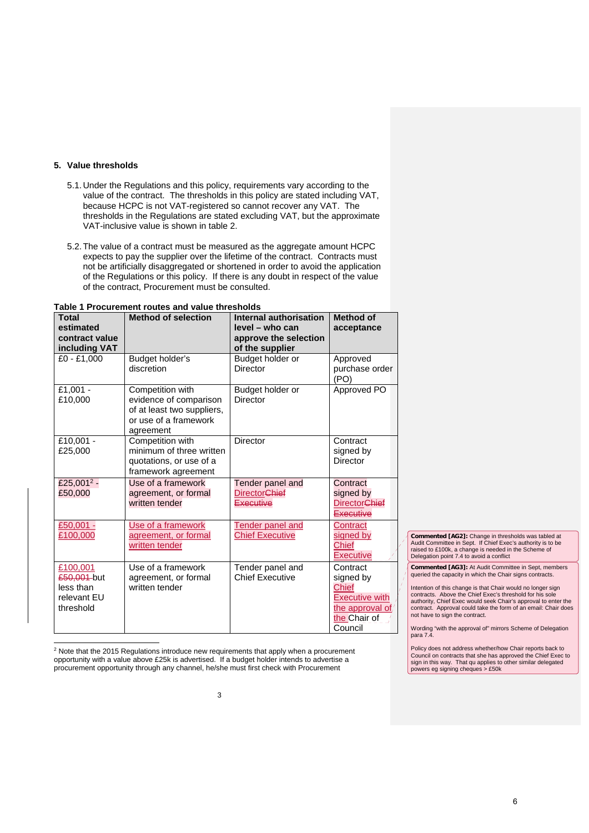### **5. Value thresholds**

l

- 5.1. Under the Regulations and this policy, requirements vary according to the value of the contract. The thresholds in this policy are stated including VAT, because HCPC is not VAT-registered so cannot recover any VAT. The thresholds in the Regulations are stated excluding VAT, but the approximate VAT-inclusive value is shown in table 2.
- 5.2. The value of a contract must be measured as the aggregate amount HCPC expects to pay the supplier over the lifetime of the contract. Contracts must not be artificially disaggregated or shortened in order to avoid the application of the Regulations or this policy. If there is any doubt in respect of the value of the contract, Procurement must be consulted.

| <b>Total</b><br>estimated<br>contract value<br>including VAT     | <b>Method of selection</b>                                                                                     | Internal authorisation<br>level – who can<br>approve the selection<br>of the supplier | <b>Method of</b><br>acceptance                                                                                |
|------------------------------------------------------------------|----------------------------------------------------------------------------------------------------------------|---------------------------------------------------------------------------------------|---------------------------------------------------------------------------------------------------------------|
| £0 - £1.000                                                      | Budget holder's<br>discretion                                                                                  | Budget holder or<br><b>Director</b>                                                   | Approved<br>purchase order<br>(PO)                                                                            |
| £1,001 -<br>£10,000                                              | Competition with<br>evidence of comparison<br>of at least two suppliers,<br>or use of a framework<br>agreement | Budget holder or<br>Director                                                          | Approved PO                                                                                                   |
| £10,001 -<br>£25,000                                             | Competition with<br>minimum of three written<br>quotations, or use of a<br>framework agreement                 | Director                                                                              | Contract<br>signed by<br><b>Director</b>                                                                      |
| £25,001 $2 -$<br>£50,000                                         | Use of a framework<br>agreement, or formal<br>written tender                                                   | Tender panel and<br><b>Director</b> Chief<br>Executive                                | Contract<br>signed by<br><b>DirectorChief</b><br>Executive                                                    |
| £50,001 -<br>£100,000                                            | Use of a framework<br>agreement, or formal<br>written tender                                                   | Tender panel and<br><b>Chief Executive</b>                                            | Contract<br>signed by<br><b>Chief</b><br><b>Executive</b>                                                     |
| £100,001<br>£50,001-but<br>less than<br>relevant EU<br>threshold | Use of a framework<br>agreement, or formal<br>written tender                                                   | Tender panel and<br><b>Chief Executive</b>                                            | Contract<br>signed by<br><b>Chief</b><br><b>Executive with</b><br>the approval of,<br>the Chair of<br>Council |

**Table 1 Procurement routes and value thresholds** 

2 Note that the 2015 Regulations introduce new requirements that apply when a procurement opportunity with a value above £25k is advertised. If a budget holder intends to advertise a procurement opportunity through any channel, he/she must first check with Procurement

**Commented [AG2]:** Change in thresholds was tabled at Audit Committee in Sept. If Chief Exec's authority is to be raised to £100k, a change is needed in the Scheme of Delegation point 7.4 to avoid a conflict

**Commented [AG3]:** At Audit Committee in Sept, members queried the capacity in which the Chair signs contracts.

Intention of this change is that Chair would no longer sign<br>contracts. Above the Chief Exec's threshold for his sole<br>authority, Chief Exec would seek Chair's approval to enter the<br>contract. Approval could take the form of not have to sign the contract.

Wording "with the approval of" mirrors Scheme of Delegation para 7.4.

Policy does not address whether/how Chair reports back to Council on contracts that she has approved the Chief Exec to sign in this way. That qu applies to other similar delegated powers eg signing cheques > £50k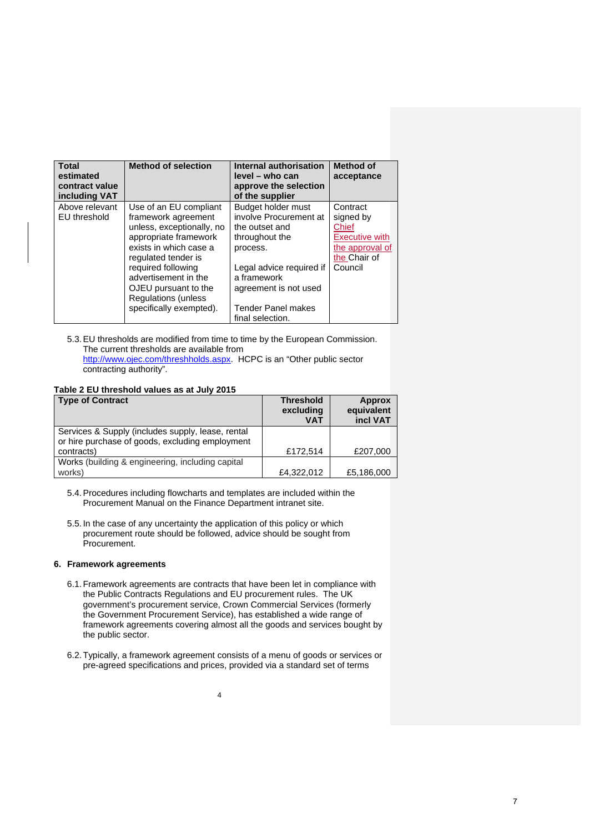| <b>Total</b><br>estimated<br>contract value<br>including VAT | <b>Method of selection</b>  | Internal authorisation<br>level - who can<br>approve the selection<br>of the supplier | <b>Method of</b><br>acceptance |
|--------------------------------------------------------------|-----------------------------|---------------------------------------------------------------------------------------|--------------------------------|
| Above relevant                                               | Use of an EU compliant      | Budget holder must                                                                    | Contract                       |
| EU threshold                                                 | framework agreement         | involve Procurement at                                                                | signed by                      |
|                                                              | unless, exceptionally, no   | the outset and                                                                        | Chief                          |
|                                                              | appropriate framework       | throughout the                                                                        | <b>Executive with</b>          |
|                                                              | exists in which case a      | process.                                                                              | the approval of                |
|                                                              | regulated tender is         |                                                                                       | the Chair of                   |
|                                                              | required following          | Legal advice required if                                                              | Council                        |
|                                                              | advertisement in the        | a framework                                                                           |                                |
|                                                              | OJEU pursuant to the        | agreement is not used                                                                 |                                |
|                                                              | <b>Regulations (unless)</b> |                                                                                       |                                |
|                                                              | specifically exempted).     | <b>Tender Panel makes</b>                                                             |                                |
|                                                              |                             | final selection.                                                                      |                                |

5.3. EU thresholds are modified from time to time by the European Commission. The current thresholds are available from http://www.ojec.com/threshholds.aspx. HCPC is an "Other public sector contracting authority".

#### **Table 2 EU threshold values as at July 2015**

| <b>Type of Contract</b>                           | <b>Threshold</b><br>excluding<br><b>VAT</b> | <b>Approx</b><br>equivalent<br>incl VAT |
|---------------------------------------------------|---------------------------------------------|-----------------------------------------|
| Services & Supply (includes supply, lease, rental |                                             |                                         |
| or hire purchase of goods, excluding employment   |                                             |                                         |
| contracts)                                        | £172.514                                    | £207,000                                |
| Works (building & engineering, including capital  |                                             |                                         |
| works)                                            | £4,322,012                                  | £5,186,000                              |

5.4. Procedures including flowcharts and templates are included within the Procurement Manual on the Finance Department intranet site.

5.5. In the case of any uncertainty the application of this policy or which procurement route should be followed, advice should be sought from Procurement.

### **6. Framework agreements**

- 6.1. Framework agreements are contracts that have been let in compliance with the Public Contracts Regulations and EU procurement rules. The UK government's procurement service, Crown Commercial Services (formerly the Government Procurement Service), has established a wide range of framework agreements covering almost all the goods and services bought by the public sector.
- 6.2. Typically, a framework agreement consists of a menu of goods or services or pre-agreed specifications and prices, provided via a standard set of terms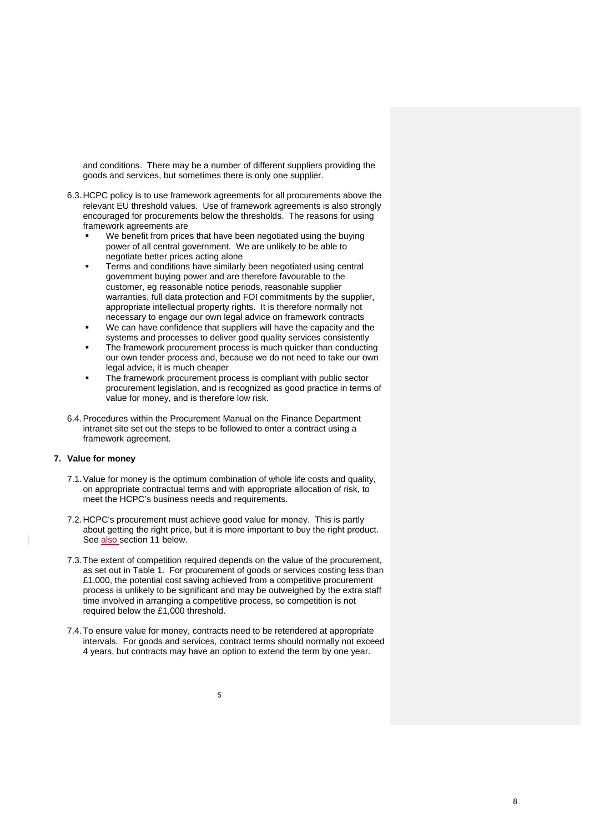and conditions. There may be a number of different suppliers providing the goods and services, but sometimes there is only one supplier.

- 6.3. HCPC policy is to use framework agreements for all procurements above the relevant EU threshold values. Use of framework agreements is also strongly encouraged for procurements below the thresholds. The reasons for using framework agreements are
	- We benefit from prices that have been negotiated using the buying power of all central government. We are unlikely to be able to negotiate better prices acting alone
	- Terms and conditions have similarly been negotiated using central government buying power and are therefore favourable to the customer, eg reasonable notice periods, reasonable supplier warranties, full data protection and FOI commitments by the supplier, appropriate intellectual property rights. It is therefore normally not necessary to engage our own legal advice on framework contracts
	- We can have confidence that suppliers will have the capacity and the systems and processes to deliver good quality services consistently
	- The framework procurement process is much quicker than conducting our own tender process and, because we do not need to take our own legal advice, it is much cheaper
	- The framework procurement process is compliant with public sector procurement legislation, and is recognized as good practice in terms of value for money, and is therefore low risk.
- 6.4. Procedures within the Procurement Manual on the Finance Department intranet site set out the steps to be followed to enter a contract using a framework agreement.

### **7. Value for money**

- 7.1. Value for money is the optimum combination of whole life costs and quality, on appropriate contractual terms and with appropriate allocation of risk, to meet the HCPC's business needs and requirements.
- 7.2. HCPC's procurement must achieve good value for money. This is partly about getting the right price, but it is more important to buy the right product. See also section 11 below.
- 7.3. The extent of competition required depends on the value of the procurement, as set out in Table 1. For procurement of goods or services costing less than £1,000, the potential cost saving achieved from a competitive procurement process is unlikely to be significant and may be outweighed by the extra staff time involved in arranging a competitive process, so competition is not required below the £1,000 threshold.
- 7.4. To ensure value for money, contracts need to be retendered at appropriate intervals. For goods and services, contract terms should normally not exceed 4 years, but contracts may have an option to extend the term by one year.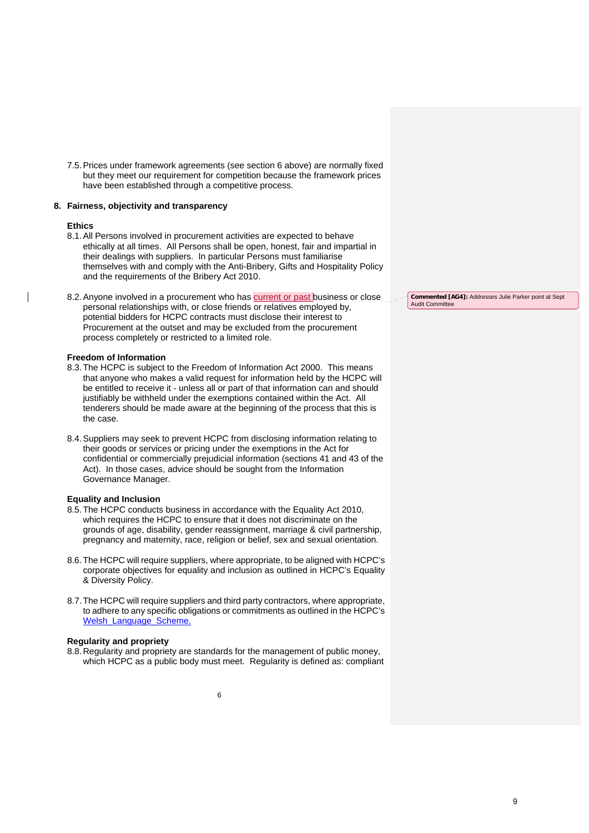7.5. Prices under framework agreements (see section 6 above) are normally fixed but they meet our requirement for competition because the framework prices have been established through a competitive process.

#### **8. Fairness, objectivity and transparency**

### **Ethics**

- 8.1. All Persons involved in procurement activities are expected to behave ethically at all times. All Persons shall be open, honest, fair and impartial in their dealings with suppliers. In particular Persons must familiarise themselves with and comply with the Anti-Bribery, Gifts and Hospitality Policy and the requirements of the Bribery Act 2010.
- 8.2. Anyone involved in a procurement who has current or past business or close personal relationships with, or close friends or relatives employed by, potential bidders for HCPC contracts must disclose their interest to Procurement at the outset and may be excluded from the procurement process completely or restricted to a limited role.

#### **Freedom of Information**

- 8.3. The HCPC is subject to the Freedom of Information Act 2000. This means that anyone who makes a valid request for information held by the HCPC will be entitled to receive it - unless all or part of that information can and should justifiably be withheld under the exemptions contained within the Act. All tenderers should be made aware at the beginning of the process that this is the case.
- 8.4. Suppliers may seek to prevent HCPC from disclosing information relating to their goods or services or pricing under the exemptions in the Act for confidential or commercially prejudicial information (sections 41 and 43 of the Act). In those cases, advice should be sought from the Information Governance Manager.

#### **Equality and Inclusion**

- 8.5. The HCPC conducts business in accordance with the Equality Act 2010, which requires the HCPC to ensure that it does not discriminate on the grounds of age, disability, gender reassignment, marriage & civil partnership, pregnancy and maternity, race, religion or belief, sex and sexual orientation.
- 8.6. The HCPC will require suppliers, where appropriate, to be aligned with HCPC's corporate objectives for equality and inclusion as outlined in HCPC's Equality & Diversity Policy.
- 8.7. The HCPC will require suppliers and third party contractors, where appropriate, to adhere to any specific obligations or commitments as outlined in the HCPC's Welsh\_Language\_Scheme.

#### **Regularity and propriety**

8.8. Regularity and propriety are standards for the management of public money, which HCPC as a public body must meet. Regularity is defined as: compliant

**Commented [AG4]:** Addresses Julie Parker point at Sept Audit Committee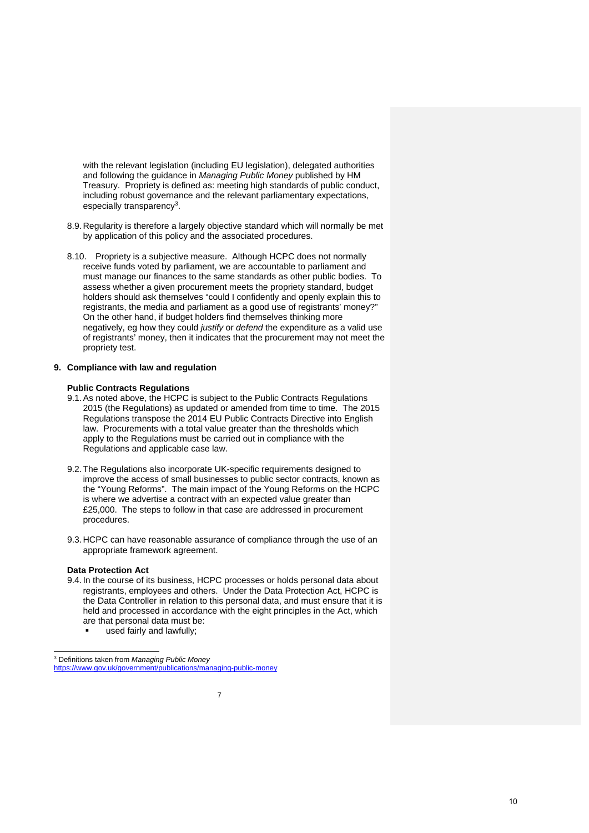with the relevant legislation (including EU legislation), delegated authorities and following the guidance in *Managing Public Money* published by HM Treasury. Propriety is defined as: meeting high standards of public conduct, including robust governance and the relevant parliamentary expectations, especially transparency<sup>3</sup>.

- 8.9. Regularity is therefore a largely objective standard which will normally be met by application of this policy and the associated procedures.
- 8.10. Propriety is a subjective measure. Although HCPC does not normally receive funds voted by parliament, we are accountable to parliament and must manage our finances to the same standards as other public bodies. To assess whether a given procurement meets the propriety standard, budget holders should ask themselves "could I confidently and openly explain this to registrants, the media and parliament as a good use of registrants' money?" On the other hand, if budget holders find themselves thinking more negatively, eg how they could *justify* or *defend* the expenditure as a valid use of registrants' money, then it indicates that the procurement may not meet the propriety test.

#### **9. Compliance with law and regulation**

#### **Public Contracts Regulations**

- 9.1. As noted above, the HCPC is subject to the Public Contracts Regulations 2015 (the Regulations) as updated or amended from time to time. The 2015 Regulations transpose the 2014 EU Public Contracts Directive into English law. Procurements with a total value greater than the thresholds which apply to the Regulations must be carried out in compliance with the Regulations and applicable case law.
- 9.2. The Regulations also incorporate UK-specific requirements designed to improve the access of small businesses to public sector contracts, known as the "Young Reforms". The main impact of the Young Reforms on the HCPC is where we advertise a contract with an expected value greater than £25,000. The steps to follow in that case are addressed in procurement procedures.
- 9.3. HCPC can have reasonable assurance of compliance through the use of an appropriate framework agreement.

#### **Data Protection Act**

 $\overline{a}$ 

- 9.4. In the course of its business, HCPC processes or holds personal data about registrants, employees and others. Under the Data Protection Act, HCPC is the Data Controller in relation to this personal data, and must ensure that it is held and processed in accordance with the eight principles in the Act, which are that personal data must be:
	- used fairly and lawfully;

<sup>3</sup> Definitions taken from *Managing Public Money* https://www.gov.uk/government/publications/managing-public-money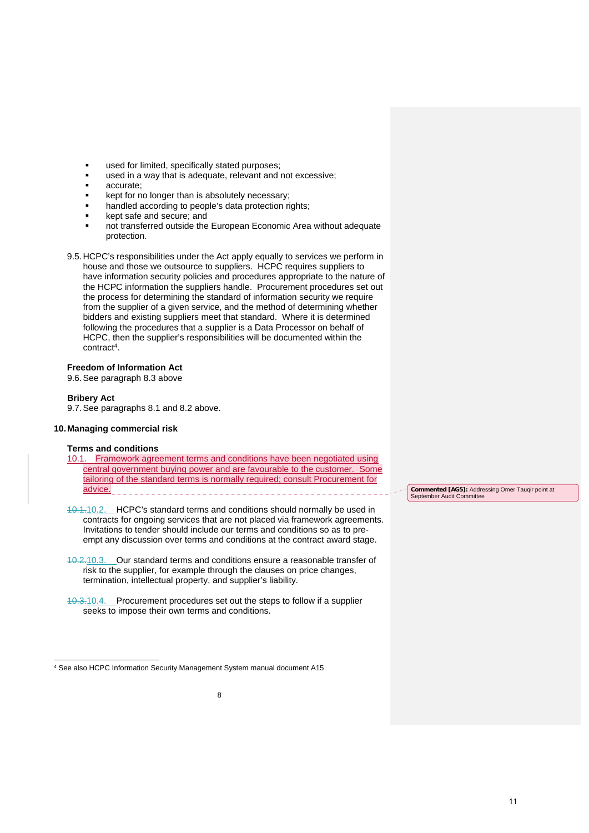- used for limited, specifically stated purposes;
- used in a way that is adequate, relevant and not excessive;
- accurate;
- kept for no longer than is absolutely necessary;
- handled according to people's data protection rights;
- kept safe and secure; and
- not transferred outside the European Economic Area without adequate protection.
- 9.5. HCPC's responsibilities under the Act apply equally to services we perform in house and those we outsource to suppliers. HCPC requires suppliers to have information security policies and procedures appropriate to the nature of the HCPC information the suppliers handle. Procurement procedures set out the process for determining the standard of information security we require from the supplier of a given service, and the method of determining whether bidders and existing suppliers meet that standard. Where it is determined following the procedures that a supplier is a Data Processor on behalf of HCPC, then the supplier's responsibilities will be documented within the contract4.

### **Freedom of Information Act**

9.6. See paragraph 8.3 above

#### **Bribery Act**

9.7. See paragraphs 8.1 and 8.2 above.

### **10. Managing commercial risk**

#### **Terms and conditions**

- 10.1. Framework agreement terms and conditions have been negotiated using central government buying power and are favourable to the customer. Some tailoring of the standard terms is normally required; consult Procurement for advice.
- 10.1.10.2. HCPC's standard terms and conditions should normally be used in contracts for ongoing services that are not placed via framework agreements. Invitations to tender should include our terms and conditions so as to preempt any discussion over terms and conditions at the contract award stage.
- 10.2.10.3. Our standard terms and conditions ensure a reasonable transfer of risk to the supplier, for example through the clauses on price changes, termination, intellectual property, and supplier's liability.
- 10.3.10.4. Procurement procedures set out the steps to follow if a supplier seeks to impose their own terms and conditions.

**Commented [AG5]:** Addressing Omer Tauqir point at September Audit Committee

 $\overline{a}$ 4 See also HCPC Information Security Management System manual document A15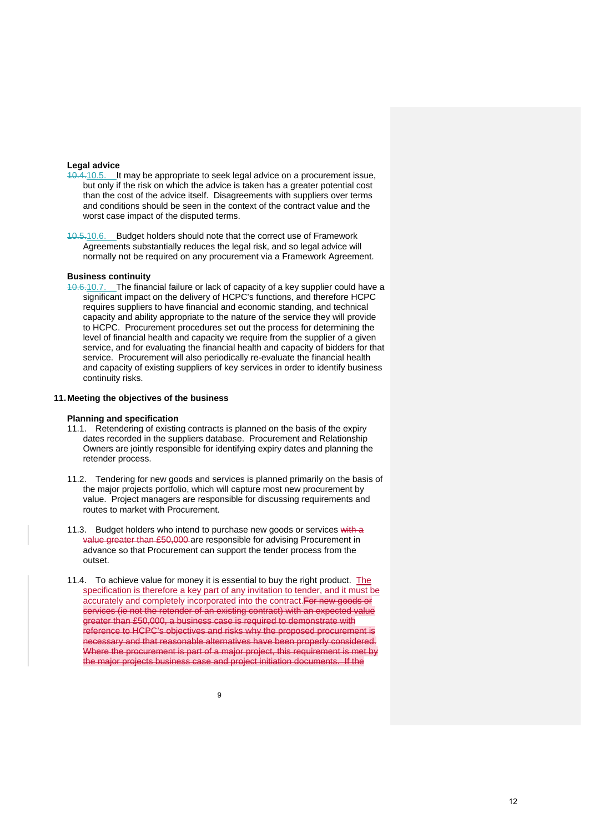#### **Legal advice**

- 10.4.10.5. It may be appropriate to seek legal advice on a procurement issue, but only if the risk on which the advice is taken has a greater potential cost than the cost of the advice itself. Disagreements with suppliers over terms and conditions should be seen in the context of the contract value and the worst case impact of the disputed terms.
- 10.5.10.6. Budget holders should note that the correct use of Framework Agreements substantially reduces the legal risk, and so legal advice will normally not be required on any procurement via a Framework Agreement.

#### **Business continuity**

10.6.10.7. The financial failure or lack of capacity of a key supplier could have a significant impact on the delivery of HCPC's functions, and therefore HCPC requires suppliers to have financial and economic standing, and technical capacity and ability appropriate to the nature of the service they will provide to HCPC. Procurement procedures set out the process for determining the level of financial health and capacity we require from the supplier of a given service, and for evaluating the financial health and capacity of bidders for that service. Procurement will also periodically re-evaluate the financial health and capacity of existing suppliers of key services in order to identify business continuity risks.

#### **11. Meeting the objectives of the business**

#### **Planning and specification**

- 11.1. Retendering of existing contracts is planned on the basis of the expiry dates recorded in the suppliers database. Procurement and Relationship Owners are jointly responsible for identifying expiry dates and planning the retender process.
- 11.2. Tendering for new goods and services is planned primarily on the basis of the major projects portfolio, which will capture most new procurement by value. Project managers are responsible for discussing requirements and routes to market with Procurement.
- 11.3. Budget holders who intend to purchase new goods or services with a value greater than £50,000 are responsible for advising Procurement in advance so that Procurement can support the tender process from the outset.
- 11.4. To achieve value for money it is essential to buy the right product. The specification is therefore a key part of any invitation to tender, and it must be accurately and completely incorporated into the contract.For new goods or services (ie not the retender of an existing contract) with an expected value greater than £50,000, a business case is required to demonstrate with reference to HCPC's objectives and risks why the proposed procurement is necessary and that reasonable alternatives have been properly considered. Where the procurement is part of a major project, this requirement is met by the major projects business case and project initiation documents. If the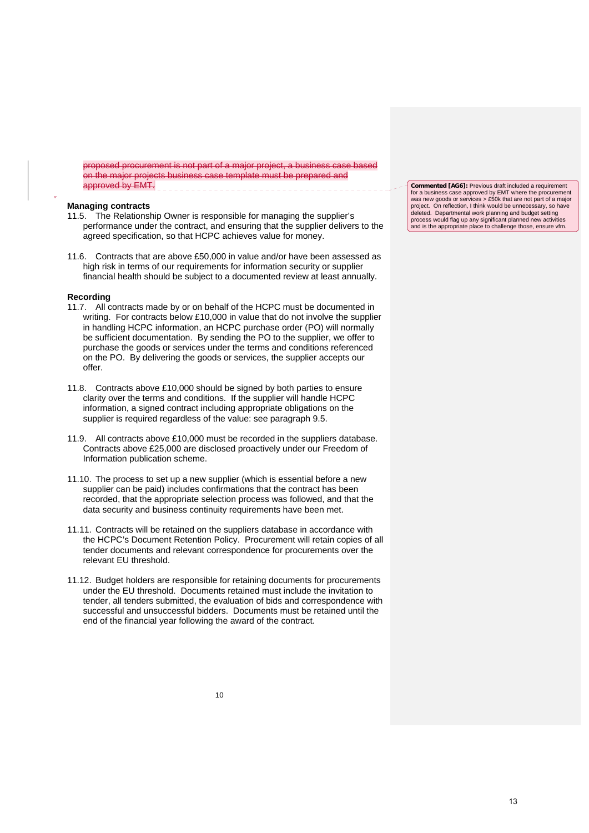proposed procurement is not part of a major project, a business case based on the major projects business case template must be prepared and approved by EMT.

#### **Managing contracts**

- 11.5. The Relationship Owner is responsible for managing the supplier's performance under the contract, and ensuring that the supplier delivers to the agreed specification, so that HCPC achieves value for money.
- 11.6. Contracts that are above £50,000 in value and/or have been assessed as high risk in terms of our requirements for information security or supplier financial health should be subject to a documented review at least annually.

#### **Recording**

.

- 11.7. All contracts made by or on behalf of the HCPC must be documented in writing. For contracts below £10,000 in value that do not involve the supplier in handling HCPC information, an HCPC purchase order (PO) will normally be sufficient documentation. By sending the PO to the supplier, we offer to purchase the goods or services under the terms and conditions referenced on the PO. By delivering the goods or services, the supplier accepts our offer.
- 11.8. Contracts above £10,000 should be signed by both parties to ensure clarity over the terms and conditions. If the supplier will handle HCPC information, a signed contract including appropriate obligations on the supplier is required regardless of the value: see paragraph 9.5.
- 11.9. All contracts above £10,000 must be recorded in the suppliers database. Contracts above £25,000 are disclosed proactively under our Freedom of Information publication scheme.
- 11.10. The process to set up a new supplier (which is essential before a new supplier can be paid) includes confirmations that the contract has been recorded, that the appropriate selection process was followed, and that the data security and business continuity requirements have been met.
- 11.11. Contracts will be retained on the suppliers database in accordance with the HCPC's Document Retention Policy. Procurement will retain copies of all tender documents and relevant correspondence for procurements over the relevant EU threshold.
- 11.12. Budget holders are responsible for retaining documents for procurements under the EU threshold. Documents retained must include the invitation to tender, all tenders submitted, the evaluation of bids and correspondence with successful and unsuccessful bidders. Documents must be retained until the end of the financial year following the award of the contract.

**Commented [AG6]:** Previous draft included a requirement for a business case approved by EMT where the procurement was new goods or services > £50k that are not part of a major project. On reflection, I think would be unnecessary, so have deleted. Departmental work planning and budget setting process would flag up any significant planned new activities and is the appropriate place to challenge those, ensure vfm.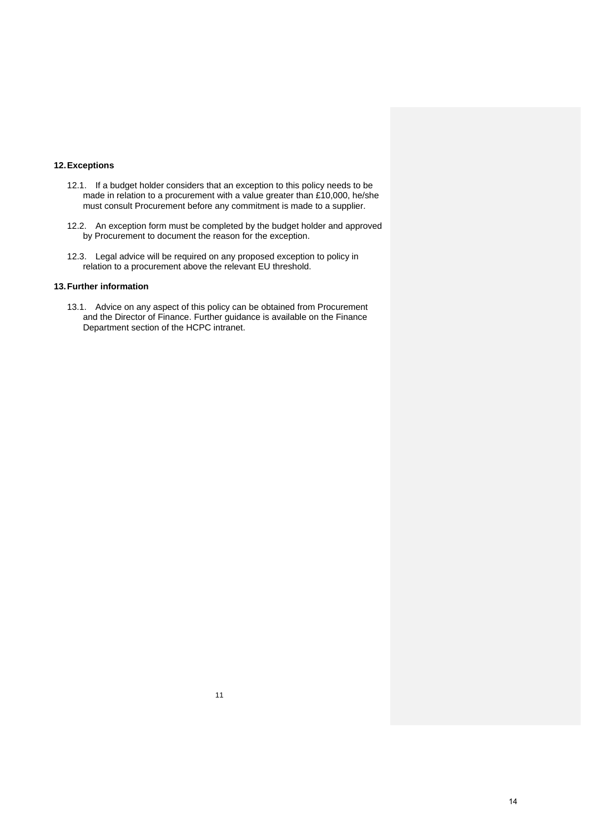### **12. Exceptions**

- 12.1. If a budget holder considers that an exception to this policy needs to be made in relation to a procurement with a value greater than £10,000, he/she must consult Procurement before any commitment is made to a supplier.
- 12.2. An exception form must be completed by the budget holder and approved by Procurement to document the reason for the exception.
- 12.3. Legal advice will be required on any proposed exception to policy in relation to a procurement above the relevant EU threshold.

### **13. Further information**

13.1. Advice on any aspect of this policy can be obtained from Procurement and the Director of Finance. Further guidance is available on the Finance Department section of the HCPC intranet.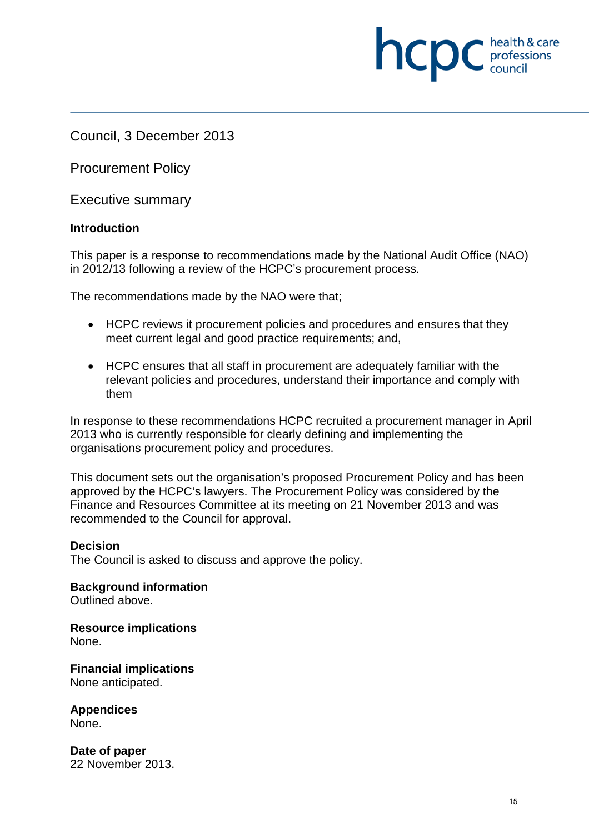Council, 3 December 2013

Procurement Policy

Executive summary

## **Introduction**

This paper is a response to recommendations made by the National Audit Office (NAO) in 2012/13 following a review of the HCPC's procurement process.

The recommendations made by the NAO were that;

- HCPC reviews it procurement policies and procedures and ensures that they meet current legal and good practice requirements; and,
- HCPC ensures that all staff in procurement are adequately familiar with the relevant policies and procedures, understand their importance and comply with them

In response to these recommendations HCPC recruited a procurement manager in April 2013 who is currently responsible for clearly defining and implementing the organisations procurement policy and procedures.

This document sets out the organisation's proposed Procurement Policy and has been approved by the HCPC's lawyers. The Procurement Policy was considered by the Finance and Resources Committee at its meeting on 21 November 2013 and was recommended to the Council for approval.

## **Decision**

The Council is asked to discuss and approve the policy.

**Background information**  Outlined above.

**Resource implications**  None.

**Financial implications**  None anticipated.

**Appendices**  None.

**Date of paper**  22 November 2013. **NCDC** *c health* & care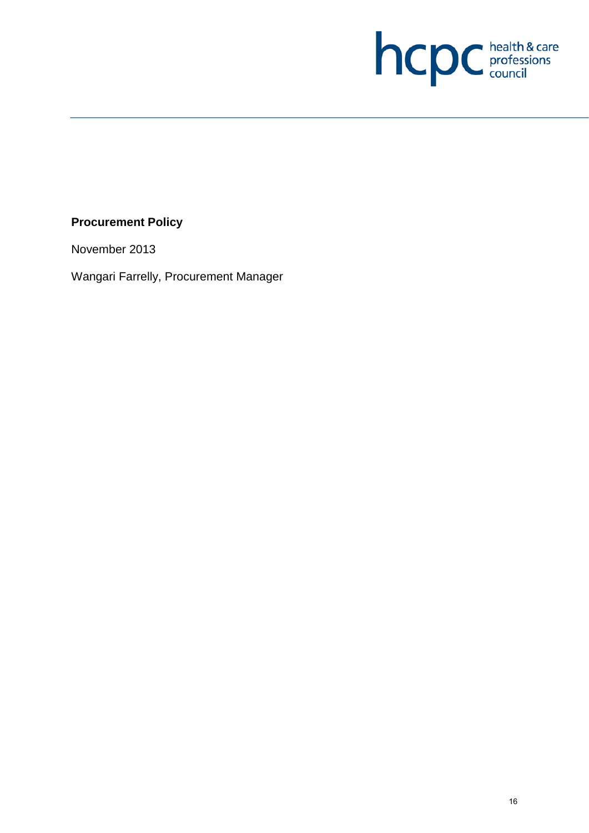

# **Procurement Policy**

November 2013

Wangari Farrelly, Procurement Manager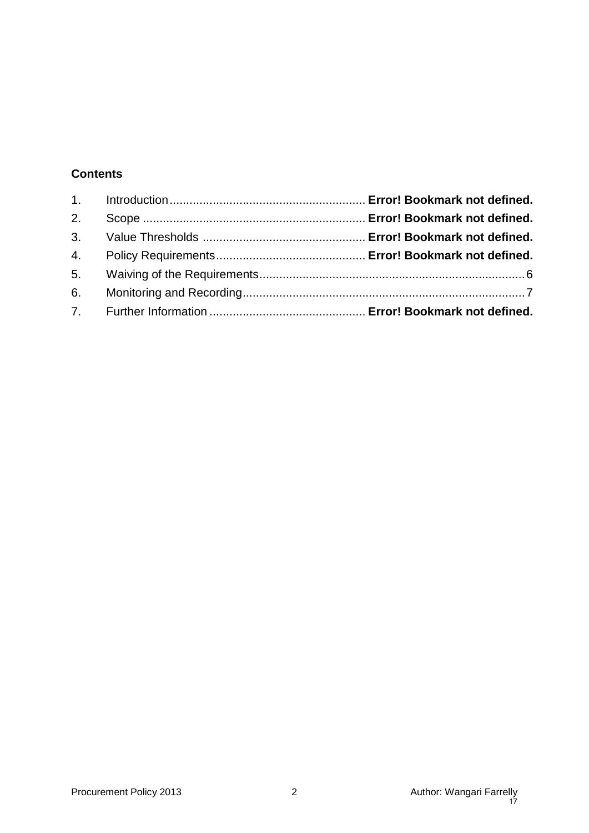# **Contents**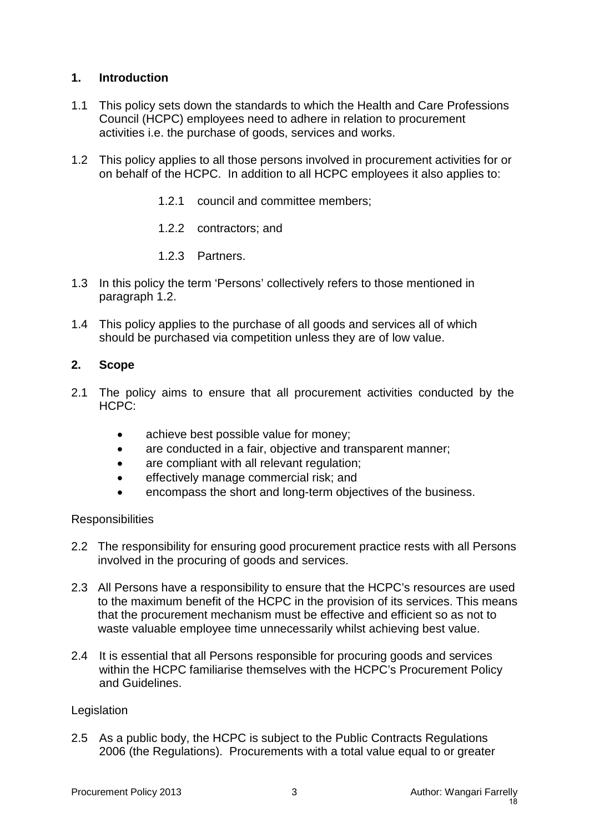# **1. Introduction**

- 1.1 This policy sets down the standards to which the Health and Care Professions Council (HCPC) employees need to adhere in relation to procurement activities i.e. the purchase of goods, services and works.
- 1.2 This policy applies to all those persons involved in procurement activities for or on behalf of the HCPC. In addition to all HCPC employees it also applies to:
	- 1.2.1 council and committee members;
	- 1.2.2 contractors; and
	- 1.2.3 Partners.
- 1.3 In this policy the term 'Persons' collectively refers to those mentioned in paragraph 1.2.
- 1.4 This policy applies to the purchase of all goods and services all of which should be purchased via competition unless they are of low value.

## **2. Scope**

- 2.1 The policy aims to ensure that all procurement activities conducted by the HCPC:
	- achieve best possible value for money;
	- are conducted in a fair, objective and transparent manner;
	- are compliant with all relevant regulation;
	- effectively manage commercial risk; and
	- encompass the short and long-term objectives of the business.

## **Responsibilities**

- 2.2 The responsibility for ensuring good procurement practice rests with all Persons involved in the procuring of goods and services.
- 2.3 All Persons have a responsibility to ensure that the HCPC's resources are used to the maximum benefit of the HCPC in the provision of its services. This means that the procurement mechanism must be effective and efficient so as not to waste valuable employee time unnecessarily whilst achieving best value.
- 2.4 It is essential that all Persons responsible for procuring goods and services within the HCPC familiarise themselves with the HCPC's Procurement Policy and Guidelines.

## **Legislation**

2.5 As a public body, the HCPC is subject to the Public Contracts Regulations 2006 (the Regulations). Procurements with a total value equal to or greater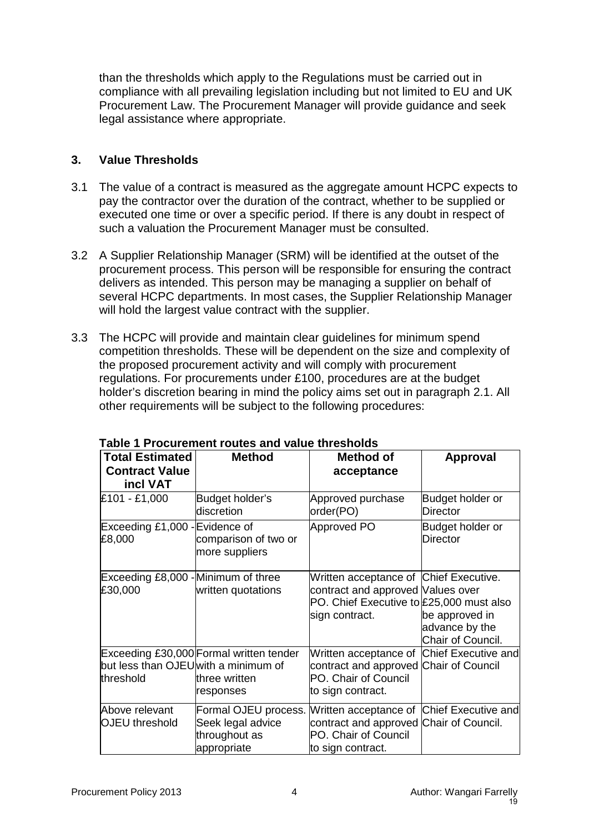than the thresholds which apply to the Regulations must be carried out in compliance with all prevailing legislation including but not limited to EU and UK Procurement Law. The Procurement Manager will provide guidance and seek legal assistance where appropriate.

## **3. Value Thresholds**

- 3.1 The value of a contract is measured as the aggregate amount HCPC expects to pay the contractor over the duration of the contract, whether to be supplied or executed one time or over a specific period. If there is any doubt in respect of such a valuation the Procurement Manager must be consulted.
- 3.2 A Supplier Relationship Manager (SRM) will be identified at the outset of the procurement process. This person will be responsible for ensuring the contract delivers as intended. This person may be managing a supplier on behalf of several HCPC departments. In most cases, the Supplier Relationship Manager will hold the largest value contract with the supplier.
- 3.3 The HCPC will provide and maintain clear guidelines for minimum spend competition thresholds. These will be dependent on the size and complexity of the proposed procurement activity and will comply with procurement regulations. For procurements under £100, procedures are at the budget holder's discretion bearing in mind the policy aims set out in paragraph 2.1. All other requirements will be subject to the following procedures:

| <b>Total Estimated</b>                            | <b>Method</b>                                                             | <b>Method of</b>                                                                                                                  | <b>Approval</b>                                       |
|---------------------------------------------------|---------------------------------------------------------------------------|-----------------------------------------------------------------------------------------------------------------------------------|-------------------------------------------------------|
| <b>Contract Value</b>                             |                                                                           | acceptance                                                                                                                        |                                                       |
| incl VAT                                          |                                                                           |                                                                                                                                   |                                                       |
| £101 - £1,000                                     | Budget holder's<br><b>discretion</b>                                      | Approved purchase<br>order(PO)                                                                                                    | Budget holder or<br><b>Director</b>                   |
| Exceeding £1,000 - Evidence of<br>£8,000          | comparison of two or<br>more suppliers                                    | Approved PO                                                                                                                       | Budget holder or<br><b>Director</b>                   |
| Exceeding £8,000 - Minimum of three<br>£30,000    | written quotations                                                        | Written acceptance of Chief Executive.<br>contract and approved Values over                                                       |                                                       |
|                                                   |                                                                           | PO. Chief Executive to £25,000 must also<br>sign contract.                                                                        | be approved in<br>advance by the<br>Chair of Council. |
| but less than OJEU with a minimum of<br>threshold | Exceeding £30,000 Formal written tender<br>three written                  | Written acceptance of Chief Executive and<br>contract and approved Chair of Council<br>PO. Chair of Council                       |                                                       |
|                                                   | responses                                                                 | to sign contract.                                                                                                                 |                                                       |
| Above relevant<br><b>OJEU</b> threshold           | Formal OJEU process.<br>Seek legal advice<br>throughout as<br>appropriate | Written acceptance of Chief Executive and<br>contract and approved Chair of Council.<br>PO. Chair of Council<br>to sign contract. |                                                       |

## **Table 1 Procurement routes and value thresholds**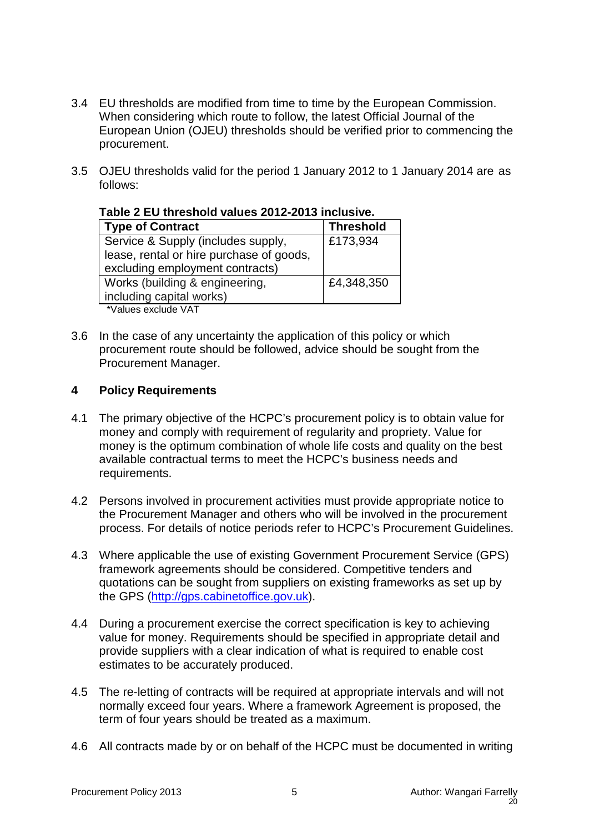- 3.4 EU thresholds are modified from time to time by the European Commission. When considering which route to follow, the latest Official Journal of the European Union (OJEU) thresholds should be verified prior to commencing the procurement.
- 3.5 OJEU thresholds valid for the period 1 January 2012 to 1 January 2014 are as follows:

| <b>Type of Contract</b>                  | <b>Threshold</b> |  |
|------------------------------------------|------------------|--|
| Service & Supply (includes supply,       | £173,934         |  |
| lease, rental or hire purchase of goods, |                  |  |
| excluding employment contracts)          |                  |  |
| Works (building & engineering,           | £4,348,350       |  |
| including capital works)                 |                  |  |
| *Values exclude VAT                      |                  |  |

**Table 2 EU threshold values 2012-2013 inclusive.**

3.6 In the case of any uncertainty the application of this policy or which procurement route should be followed, advice should be sought from the Procurement Manager.

## **4 Policy Requirements**

- 4.1 The primary objective of the HCPC's procurement policy is to obtain value for money and comply with requirement of regularity and propriety. Value for money is the optimum combination of whole life costs and quality on the best available contractual terms to meet the HCPC's business needs and requirements.
- 4.2 Persons involved in procurement activities must provide appropriate notice to the Procurement Manager and others who will be involved in the procurement process. For details of notice periods refer to HCPC's Procurement Guidelines.
- 4.3 Where applicable the use of existing Government Procurement Service (GPS) framework agreements should be considered. Competitive tenders and quotations can be sought from suppliers on existing frameworks as set up by the GPS (http://gps.cabinetoffice.gov.uk).
- 4.4 During a procurement exercise the correct specification is key to achieving value for money. Requirements should be specified in appropriate detail and provide suppliers with a clear indication of what is required to enable cost estimates to be accurately produced.
- 4.5 The re-letting of contracts will be required at appropriate intervals and will not normally exceed four years. Where a framework Agreement is proposed, the term of four years should be treated as a maximum.
- 4.6 All contracts made by or on behalf of the HCPC must be documented in writing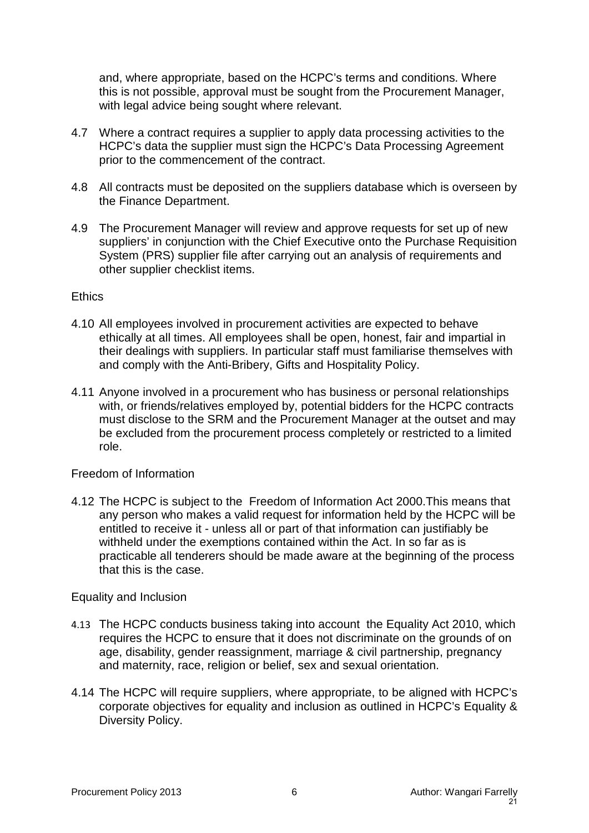and, where appropriate, based on the HCPC's terms and conditions. Where this is not possible, approval must be sought from the Procurement Manager, with legal advice being sought where relevant.

- 4.7 Where a contract requires a supplier to apply data processing activities to the HCPC's data the supplier must sign the HCPC's Data Processing Agreement prior to the commencement of the contract.
- 4.8 All contracts must be deposited on the suppliers database which is overseen by the Finance Department.
- 4.9 The Procurement Manager will review and approve requests for set up of new suppliers' in conjunction with the Chief Executive onto the Purchase Requisition System (PRS) supplier file after carrying out an analysis of requirements and other supplier checklist items.

## **Ethics**

- 4.10 All employees involved in procurement activities are expected to behave ethically at all times. All employees shall be open, honest, fair and impartial in their dealings with suppliers. In particular staff must familiarise themselves with and comply with the Anti-Bribery, Gifts and Hospitality Policy.
- 4.11 Anyone involved in a procurement who has business or personal relationships with, or friends/relatives employed by, potential bidders for the HCPC contracts must disclose to the SRM and the Procurement Manager at the outset and may be excluded from the procurement process completely or restricted to a limited role.

## Freedom of Information

4.12 The HCPC is subject to the Freedom of Information Act 2000.This means that any person who makes a valid request for information held by the HCPC will be entitled to receive it - unless all or part of that information can justifiably be withheld under the exemptions contained within the Act. In so far as is practicable all tenderers should be made aware at the beginning of the process that this is the case.

## Equality and Inclusion

- 4.13 The HCPC conducts business taking into account the Equality Act 2010, which requires the HCPC to ensure that it does not discriminate on the grounds of on age, disability, gender reassignment, marriage & civil partnership, pregnancy and maternity, race, religion or belief, sex and sexual orientation.
- 4.14 The HCPC will require suppliers, where appropriate, to be aligned with HCPC's corporate objectives for equality and inclusion as outlined in HCPC's Equality & Diversity Policy.